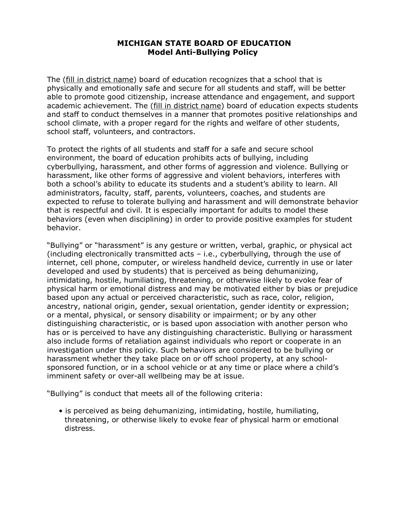# **MICHIGAN STATE BOARD OF EDUCATION Model Anti-Bullying Policy**

The (fill in district name) board of education recognizes that a school that is physically and emotionally safe and secure for all students and staff, will be better able to promote good citizenship, increase attendance and engagement, and support academic achievement. The (fill in district name) board of education expects students and staff to conduct themselves in a manner that promotes positive relationships and school climate, with a proper regard for the rights and welfare of other students, school staff, volunteers, and contractors.

To protect the rights of all students and staff for a safe and secure school environment, the board of education prohibits acts of bullying, including cyberbullying, harassment, and other forms of aggression and violence. Bullying or harassment, like other forms of aggressive and violent behaviors, interferes with both a school's ability to educate its students and a student's ability to learn. All administrators, faculty, staff, parents, volunteers, coaches, and students are expected to refuse to tolerate bullying and harassment and will demonstrate behavior that is respectful and civil. It is especially important for adults to model these behaviors (even when disciplining) in order to provide positive examples for student behavior.

"Bullying" or "harassment" is any gesture or written, verbal, graphic, or physical act (including electronically transmitted acts – i.e., cyberbullying, through the use of internet, cell phone, computer, or wireless handheld device, currently in use or later developed and used by students) that is perceived as being dehumanizing, intimidating, hostile, humiliating, threatening, or otherwise likely to evoke fear of physical harm or emotional distress and may be motivated either by bias or prejudice based upon any actual or perceived characteristic, such as race, color, religion, ancestry, national origin, gender, sexual orientation, gender identity or expression; or a mental, physical, or sensory disability or impairment; or by any other distinguishing characteristic, or is based upon association with another person who has or is perceived to have any distinguishing characteristic. Bullying or harassment also include forms of retaliation against individuals who report or cooperate in an investigation under this policy. Such behaviors are considered to be bullying or harassment whether they take place on or off school property, at any schoolsponsored function, or in a school vehicle or at any time or place where a child's imminent safety or over-all wellbeing may be at issue.

"Bullying" is conduct that meets all of the following criteria:

• is perceived as being dehumanizing, intimidating, hostile, humiliating, threatening, or otherwise likely to evoke fear of physical harm or emotional distress.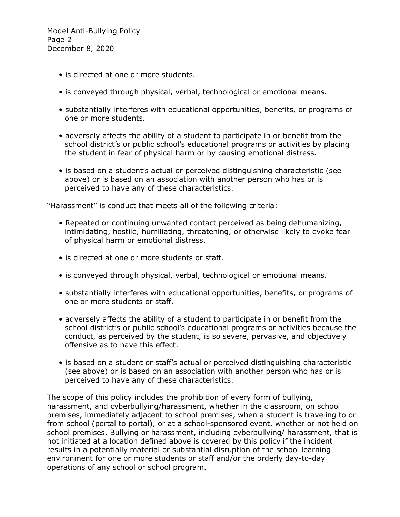Model Anti-Bullying Policy Page 2 December 8, 2020

- is directed at one or more students.
- is conveyed through physical, verbal, technological or emotional means.
- substantially interferes with educational opportunities, benefits, or programs of one or more students.
- adversely affects the ability of a student to participate in or benefit from the school district's or public school's educational programs or activities by placing the student in fear of physical harm or by causing emotional distress.
- is based on a student's actual or perceived distinguishing characteristic (see above) or is based on an association with another person who has or is perceived to have any of these characteristics.

"Harassment" is conduct that meets all of the following criteria:

- Repeated or continuing unwanted contact perceived as being dehumanizing, intimidating, hostile, humiliating, threatening, or otherwise likely to evoke fear of physical harm or emotional distress.
- is directed at one or more students or staff.
- is conveyed through physical, verbal, technological or emotional means.
- substantially interferes with educational opportunities, benefits, or programs of one or more students or staff.
- adversely affects the ability of a student to participate in or benefit from the school district's or public school's educational programs or activities because the conduct, as perceived by the student, is so severe, pervasive, and objectively offensive as to have this effect.
- is based on a student or staff's actual or perceived distinguishing characteristic (see above) or is based on an association with another person who has or is perceived to have any of these characteristics.

The scope of this policy includes the prohibition of every form of bullying, harassment, and cyberbullying/harassment, whether in the classroom, on school premises, immediately adjacent to school premises, when a student is traveling to or from school (portal to portal), or at a school-sponsored event, whether or not held on school premises. Bullying or harassment, including cyberbullying/ harassment, that is not initiated at a location defined above is covered by this policy if the incident results in a potentially material or substantial disruption of the school learning environment for one or more students or staff and/or the orderly day-to-day operations of any school or school program.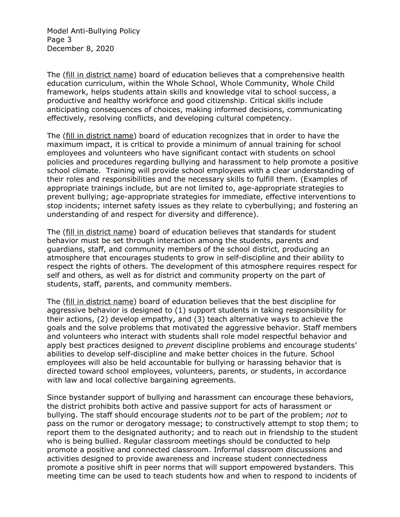Model Anti-Bullying Policy Page 3 December 8, 2020

The (fill in district name) board of education believes that a comprehensive health education curriculum, within the Whole School, Whole Community, Whole Child framework, helps students attain skills and knowledge vital to school success, a productive and healthy workforce and good citizenship. Critical skills include anticipating consequences of choices, making informed decisions, communicating effectively, resolving conflicts, and developing cultural competency.

The (fill in district name) board of education recognizes that in order to have the maximum impact, it is critical to provide a minimum of annual training for school employees and volunteers who have significant contact with students on school policies and procedures regarding bullying and harassment to help promote a positive school climate. Training will provide school employees with a clear understanding of their roles and responsibilities and the necessary skills to fulfill them. (Examples of appropriate trainings include, but are not limited to, age-appropriate strategies to prevent bullying; age-appropriate strategies for immediate, effective interventions to stop incidents; internet safety issues as they relate to cyberbullying; and fostering an understanding of and respect for diversity and difference).

The (fill in district name) board of education believes that standards for student behavior must be set through interaction among the students, parents and guardians, staff, and community members of the school district, producing an atmosphere that encourages students to grow in self-discipline and their ability to respect the rights of others. The development of this atmosphere requires respect for self and others, as well as for district and community property on the part of students, staff, parents, and community members.

The (fill in district name) board of education believes that the best discipline for aggressive behavior is designed to (1) support students in taking responsibility for their actions, (2) develop empathy, and (3) teach alternative ways to achieve the goals and the solve problems that motivated the aggressive behavior. Staff members and volunteers who interact with students shall role model respectful behavior and apply best practices designed to *prevent* discipline problems and encourage students' abilities to develop self-discipline and make better choices in the future. School employees will also be held accountable for bullying or harassing behavior that is directed toward school employees, volunteers, parents, or students, in accordance with law and local collective bargaining agreements.

Since bystander support of bullying and harassment can encourage these behaviors, the district prohibits both active and passive support for acts of harassment or bullying. The staff should encourage students *not* to be part of the problem; *not* to pass on the rumor or derogatory message; to constructively attempt to stop them; to report them to the designated authority; and to reach out in friendship to the student who is being bullied. Regular classroom meetings should be conducted to help promote a positive and connected classroom. Informal classroom discussions and activities designed to provide awareness and increase student connectedness promote a positive shift in peer norms that will support empowered bystanders. This meeting time can be used to teach students how and when to respond to incidents of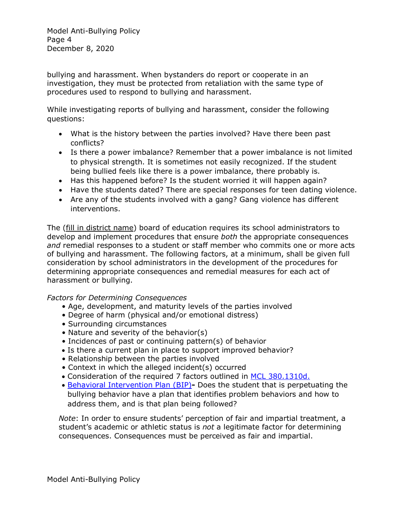Model Anti-Bullying Policy Page 4 December 8, 2020

bullying and harassment. When bystanders do report or cooperate in an investigation, they must be protected from retaliation with the same type of procedures used to respond to bullying and harassment.

While investigating reports of bullying and harassment, consider the following questions:

- What is the history between the parties involved? Have there been past conflicts?
- Is there a power imbalance? Remember that a power imbalance is not limited to physical strength. It is sometimes not easily recognized. If the student being bullied feels like there is a power imbalance, there probably is.
- Has this happened before? Is the student worried it will happen again?
- Have the students dated? There are special responses for teen dating violence.
- Are any of the students involved with a gang? Gang violence has different interventions.

The (fill in district name) board of education requires its school administrators to develop and implement procedures that ensure *both* the appropriate consequences *and* remedial responses to a student or staff member who commits one or more acts of bullying and harassment. The following factors, at a minimum, shall be given full consideration by school administrators in the development of the procedures for determining appropriate consequences and remedial measures for each act of harassment or bullying.

# *Factors for Determining Consequences*

- Age, development, and maturity levels of the parties involved
- Degree of harm (physical and/or emotional distress)
- Surrounding circumstances
- Nature and severity of the behavior(s)
- Incidences of past or continuing pattern(s) of behavior
- Is there a current plan in place to support improved behavior?
- Relationship between the parties involved
- Context in which the alleged incident(s) occurred
- Consideration of the required 7 factors outlined in MCL [380.1310d.](http://www.legislature.mi.gov/(S(ri0l1yby5agn4d5enrivhxwv))/mileg.aspx?page=GetObject&objectname=mcl-380-1310d)
- [Behavioral Intervention Plan \(BIP\)](https://www.michiganallianceforfamilies.org/bip/)Does the student that is perpetuating the bullying behavior have a plan that identifies problem behaviors and how to address them, and is that plan being followed?

*Note*: In order to ensure students' perception of fair and impartial treatment, a student's academic or athletic status is *not* a legitimate factor for determining consequences. Consequences must be perceived as fair and impartial.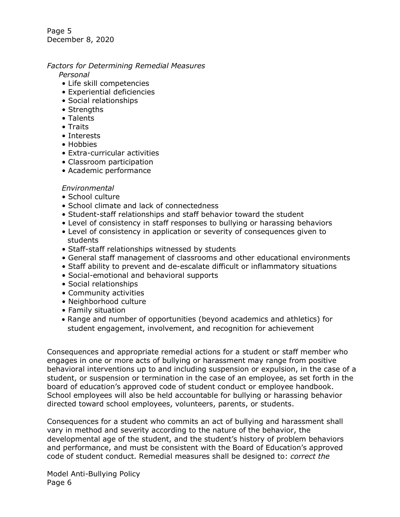Page 5 December 8, 2020

## *Factors for Determining Remedial Measures*

*Personal* 

- Life skill competencies
- Experiential deficiencies
- Social relationships
- Strengths
- Talents
- Traits
- Interests
- Hobbies
- Extra-curricular activities
- Classroom participation
- Academic performance

#### *Environmental*

- School culture
- School climate and lack of connectedness
- Student-staff relationships and staff behavior toward the student
- Level of consistency in staff responses to bullying or harassing behaviors
- Level of consistency in application or severity of consequences given to students
- Staff-staff relationships witnessed by students
- General staff management of classrooms and other educational environments
- Staff ability to prevent and de-escalate difficult or inflammatory situations
- Social-emotional and behavioral supports
- Social relationships
- Community activities
- Neighborhood culture
- Family situation
- Range and number of opportunities (beyond academics and athletics) for student engagement, involvement, and recognition for achievement

Consequences and appropriate remedial actions for a student or staff member who engages in one or more acts of bullying or harassment may range from positive behavioral interventions up to and including suspension or expulsion, in the case of a student, or suspension or termination in the case of an employee, as set forth in the board of education's approved code of student conduct or employee handbook. School employees will also be held accountable for bullying or harassing behavior directed toward school employees, volunteers, parents, or students.

Consequences for a student who commits an act of bullying and harassment shall vary in method and severity according to the nature of the behavior, the developmental age of the student, and the student's history of problem behaviors and performance, and must be consistent with the Board of Education's approved code of student conduct. Remedial measures shall be designed to: *correct the* 

Model Anti-Bullying Policy Page 6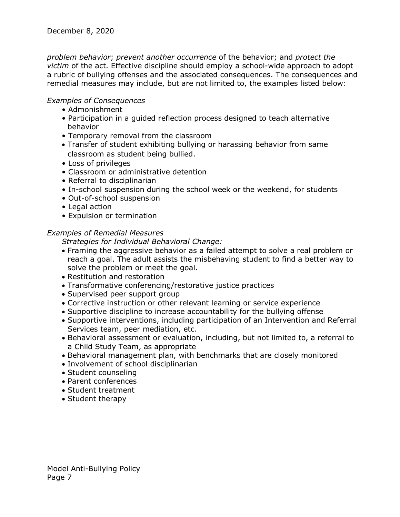*problem behavior*; *prevent another occurrence* of the behavior; and *protect the victim* of the act. Effective discipline should employ a school-wide approach to adopt a rubric of bullying offenses and the associated consequences. The consequences and remedial measures may include, but are not limited to, the examples listed below:

## *Examples of Consequences*

- Admonishment
- Participation in a guided reflection process designed to teach alternative behavior
- Temporary removal from the classroom
- Transfer of student exhibiting bullying or harassing behavior from same classroom as student being bullied.
- Loss of privileges
- Classroom or administrative detention
- Referral to disciplinarian
- In-school suspension during the school week or the weekend, for students
- Out-of-school suspension
- Legal action
- Expulsion or termination

#### *Examples of Remedial Measures*

*Strategies for Individual Behavioral Change:* 

- Framing the aggressive behavior as a failed attempt to solve a real problem or reach a goal. The adult assists the misbehaving student to find a better way to solve the problem or meet the goal.
- Restitution and restoration
- Transformative conferencing/restorative justice practices
- Supervised peer support group
- Corrective instruction or other relevant learning or service experience
- Supportive discipline to increase accountability for the bullying offense
- Supportive interventions, including participation of an Intervention and Referral Services team, peer mediation, etc.
- Behavioral assessment or evaluation, including, but not limited to, a referral to a Child Study Team, as appropriate
- Behavioral management plan, with benchmarks that are closely monitored
- Involvement of school disciplinarian
- Student counseling
- Parent conferences
- Student treatment
- Student therapy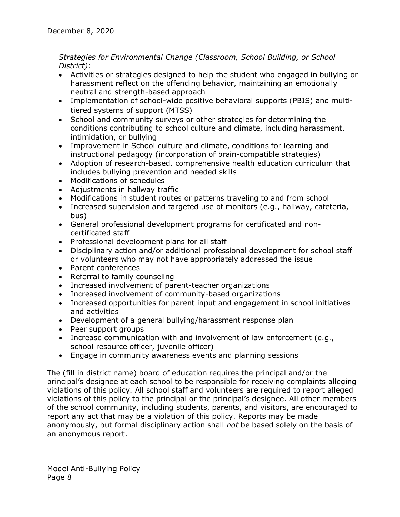# *Strategies for Environmental Change (Classroom, School Building, or School District):*

- Activities or strategies designed to help the student who engaged in bullying or harassment reflect on the offending behavior, maintaining an emotionally neutral and strength-based approach
- Implementation of school-wide positive behavioral supports (PBIS) and multitiered systems of support (MTSS)
- School and community surveys or other strategies for determining the conditions contributing to school culture and climate, including harassment, intimidation, or bullying
- Improvement in School culture and climate, conditions for learning and instructional pedagogy (incorporation of brain-compatible strategies)
- Adoption of research-based, comprehensive health education curriculum that includes bullying prevention and needed skills
- Modifications of schedules
- Adjustments in hallway traffic
- Modifications in student routes or patterns traveling to and from school
- Increased supervision and targeted use of monitors (e.g., hallway, cafeteria, bus)
- General professional development programs for certificated and noncertificated staff
- Professional development plans for all staff
- Disciplinary action and/or additional professional development for school staff or volunteers who may not have appropriately addressed the issue
- Parent conferences
- Referral to family counseling
- Increased involvement of parent-teacher organizations
- Increased involvement of community-based organizations
- Increased opportunities for parent input and engagement in school initiatives and activities
- Development of a general bullying/harassment response plan
- Peer support groups
- Increase communication with and involvement of law enforcement (e.g., school resource officer, juvenile officer)
- Engage in community awareness events and planning sessions

The (fill in district name) board of education requires the principal and/or the principal's designee at each school to be responsible for receiving complaints alleging violations of this policy. All school staff and volunteers are required to report alleged violations of this policy to the principal or the principal's designee. All other members of the school community, including students, parents, and visitors, are encouraged to report any act that may be a violation of this policy. Reports may be made anonymously, but formal disciplinary action shall *not* be based solely on the basis of an anonymous report.

Model Anti-Bullying Policy Page 8